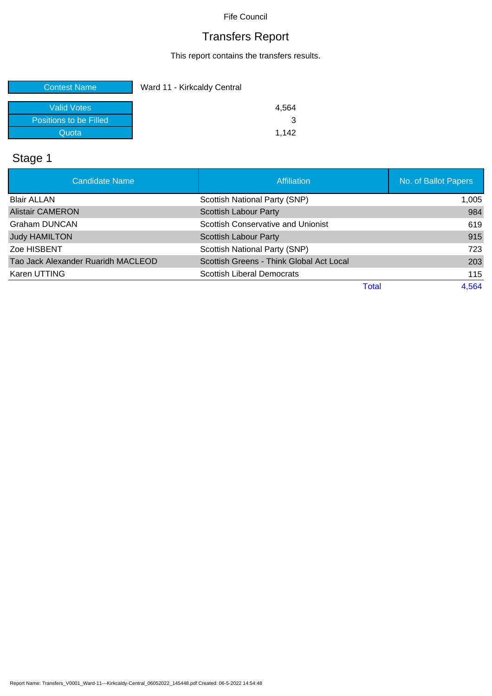# Transfers Report

This report contains the transfers results.

| <b>Contest Name</b>    | Ward 11 - Kirkcaldy Central |
|------------------------|-----------------------------|
| <b>Valid Votes</b>     | 4.564                       |
| Positions to be Filled |                             |
| Quota                  | 1.142                       |

# Stage 1

| <b>Candidate Name</b>              | <b>Affiliation</b>                        | No. of Ballot Papers |
|------------------------------------|-------------------------------------------|----------------------|
| <b>Blair ALLAN</b>                 | Scottish National Party (SNP)             | 1,005                |
| <b>Alistair CAMERON</b>            | <b>Scottish Labour Party</b>              | 984                  |
| Graham DUNCAN                      | <b>Scottish Conservative and Unionist</b> | 619                  |
| <b>Judy HAMILTON</b>               | Scottish Labour Party                     | 915                  |
| Zoe HISBENT                        | Scottish National Party (SNP)             | 723                  |
| Tao Jack Alexander Ruaridh MACLEOD | Scottish Greens - Think Global Act Local  | 203                  |
| Karen UTTING                       | <b>Scottish Liberal Democrats</b>         | 115                  |
|                                    |                                           | 4,564<br>Total       |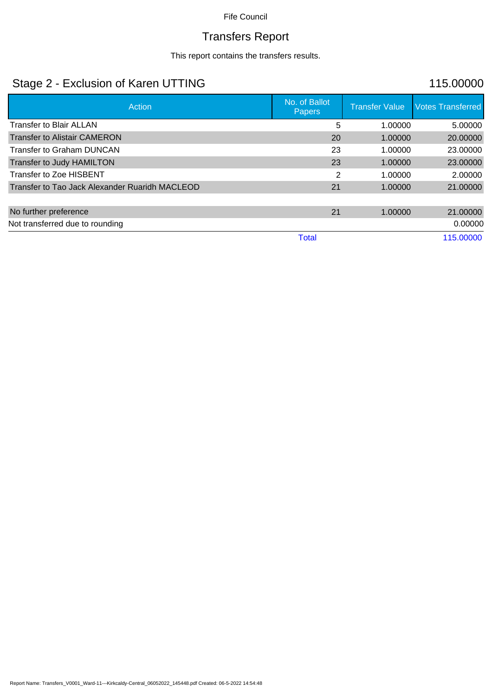# Transfers Report

This report contains the transfers results.

#### Stage 2 - Exclusion of Karen UTTING 115.00000

| Action                                         | No. of Ballot<br><b>Papers</b> | <b>Transfer Value</b> | <b>Votes Transferred</b> |
|------------------------------------------------|--------------------------------|-----------------------|--------------------------|
| Transfer to Blair ALLAN                        | 5                              | 1.00000               | 5.00000                  |
| <b>Transfer to Alistair CAMERON</b>            | 20                             | 1.00000               | 20.00000                 |
| <b>Transfer to Graham DUNCAN</b>               | 23                             | 1.00000               | 23.00000                 |
| Transfer to Judy HAMILTON                      | 23                             | 1.00000               | 23.00000                 |
| Transfer to Zoe HISBENT                        | 2                              | 1.00000               | 2.00000                  |
| Transfer to Tao Jack Alexander Ruaridh MACLEOD | 21                             | 1.00000               | 21.00000                 |
|                                                |                                |                       |                          |
| No further preference                          | 21                             | 1.00000               | 21.00000                 |
| Not transferred due to rounding                |                                |                       | 0.00000                  |
|                                                | Total                          |                       | 115.00000                |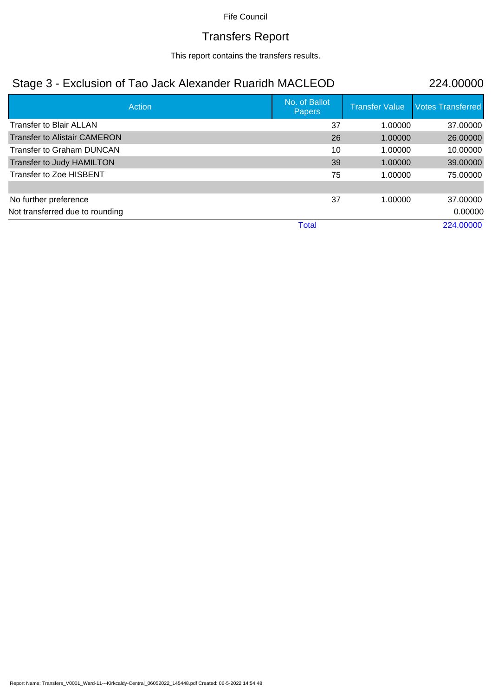#### Transfers Report

This report contains the transfers results.

#### Stage 3 - Exclusion of Tao Jack Alexander Ruaridh MACLEOD 224.00000

| Action                              | No. of Ballot<br>Papers | <b>Transfer Value</b> | <b>Votes Transferred</b> |
|-------------------------------------|-------------------------|-----------------------|--------------------------|
| <b>Transfer to Blair ALLAN</b>      | 37                      | 1.00000               | 37.00000                 |
| <b>Transfer to Alistair CAMERON</b> | 26                      | 1.00000               | 26.00000                 |
| Transfer to Graham DUNCAN           | 10                      | 1.00000               | 10.00000                 |
| Transfer to Judy HAMILTON           | 39                      | 1.00000               | 39.00000                 |
| Transfer to Zoe HISBENT             | 75                      | 1.00000               | 75.00000                 |
|                                     |                         |                       |                          |
| No further preference               | 37                      | 1.00000               | 37.00000                 |
| Not transferred due to rounding     |                         |                       | 0.00000                  |
|                                     | <b>Total</b>            |                       | 224.00000                |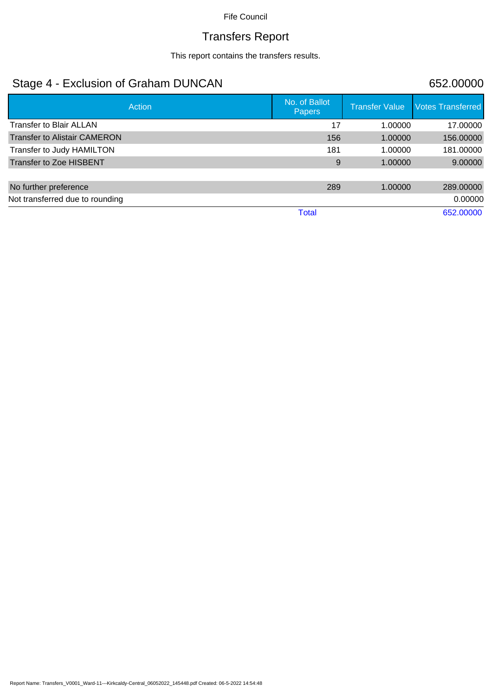# Transfers Report

This report contains the transfers results.

#### Stage 4 - Exclusion of Graham DUNCAN 652.00000

| <b>Action</b>                       | No. of Ballot<br><b>Papers</b> | <b>Transfer Value</b> | <b>Votes Transferred</b> |
|-------------------------------------|--------------------------------|-----------------------|--------------------------|
| <b>Transfer to Blair ALLAN</b>      | 17                             | 1.00000               | 17.00000                 |
| <b>Transfer to Alistair CAMERON</b> | 156                            | 1.00000               | 156.00000                |
| Transfer to Judy HAMILTON           | 181                            | 1.00000               | 181.00000                |
| <b>Transfer to Zoe HISBENT</b>      | 9                              | 1.00000               | 9.00000                  |
|                                     |                                |                       |                          |
| No further preference               | 289                            | 1.00000               | 289,00000                |
| Not transferred due to rounding     |                                |                       | 0.00000                  |
|                                     | Total                          |                       | 652.00000                |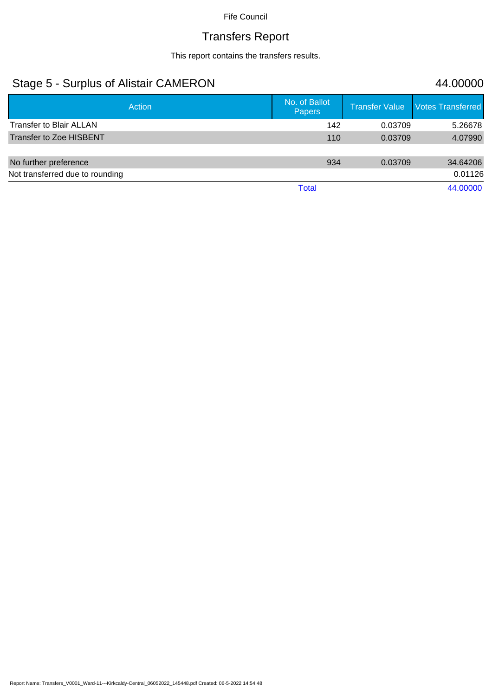# Transfers Report

This report contains the transfers results.

#### Stage 5 - Surplus of Alistair CAMERON 44.00000

| Action                          | No. of Ballot<br><b>Papers</b> | <b>Transfer Value</b> | <b>Votes Transferred</b> |
|---------------------------------|--------------------------------|-----------------------|--------------------------|
| <b>Transfer to Blair ALLAN</b>  | 142                            | 0.03709               | 5.26678                  |
| <b>Transfer to Zoe HISBENT</b>  | 110                            | 0.03709               | 4.07990                  |
| No further preference           | 934                            | 0.03709               | 34.64206                 |
| Not transferred due to rounding |                                |                       | 0.01126                  |
|                                 | <b>Total</b>                   |                       | 44.00000                 |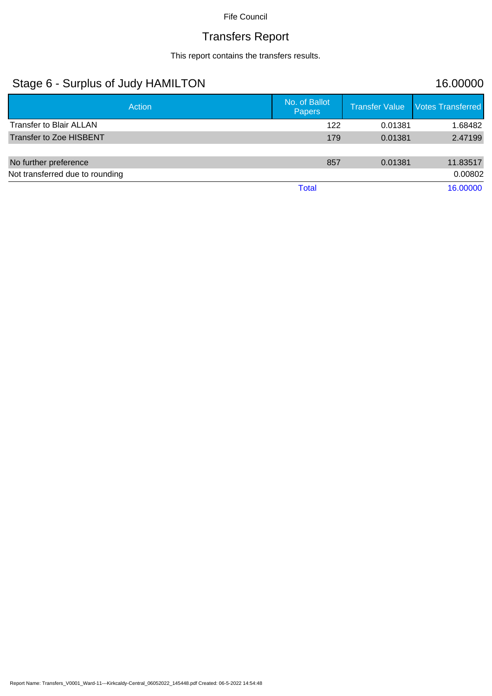#### Transfers Report

This report contains the transfers results.

#### Stage 6 - Surplus of Judy HAMILTON 16.00000 Action No. of Ballot No. of Ballot No. of Ballot No. of Ballot No. of Ballot No. of Ballot No. of Ballot No. of Ballot No. of Ballot No. of Ballot No. of Ballot No. of Ballot No. of Ballot No. of Ballot No. of Ballot No. o Transfer Value Votes Transferred Transfer to Blair ALLAN 1.68482 Transfer to Zoe HISBENT **179** 0.01381 2.47199 No further preference **857** 0.01381 11.83517 Not transferred due to rounding 0.00802 Total 16.00000